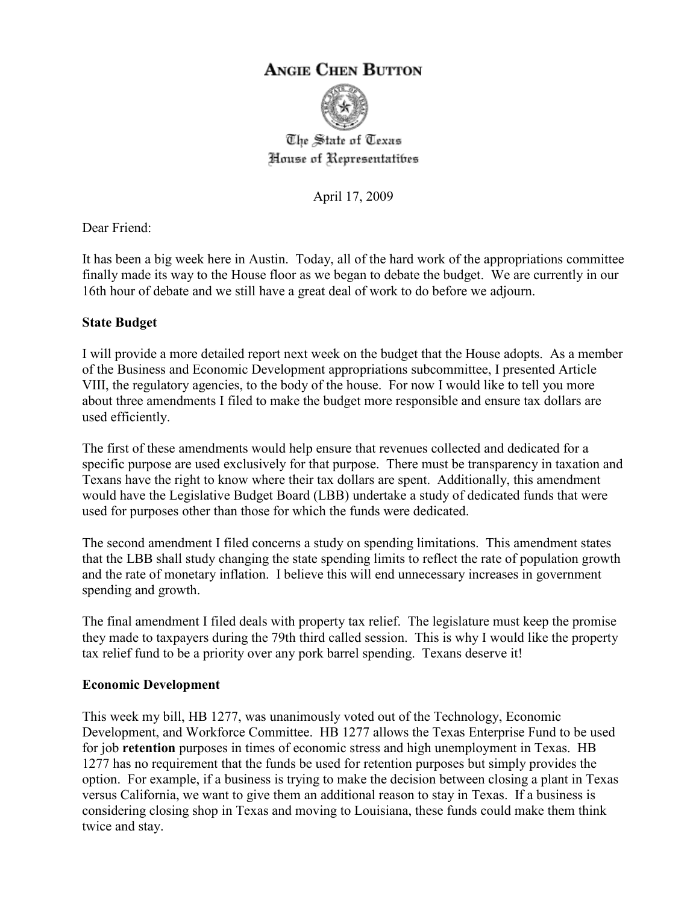# **ANGIE CHEN BUTTON**



The State of Texas House of Representatibes

April 17, 2009

Dear Friend:

It has been a big week here in Austin. Today, all of the hard work of the appropriations committee finally made its way to the House floor as we began to debate the budget. We are currently in our 16th hour of debate and we still have a great deal of work to do before we adjourn.

#### **State Budget**

I will provide a more detailed report next week on the budget that the House adopts. As a member of the Business and Economic Development appropriations subcommittee, I presented Article VIII, the regulatory agencies, to the body of the house. For now I would like to tell you more about three amendments I filed to make the budget more responsible and ensure tax dollars are used efficiently.

The first of these amendments would help ensure that revenues collected and dedicated for a specific purpose are used exclusively for that purpose. There must be transparency in taxation and Texans have the right to know where their tax dollars are spent. Additionally, this amendment would have the Legislative Budget Board (LBB) undertake a study of dedicated funds that were used for purposes other than those for which the funds were dedicated.

The second amendment I filed concerns a study on spending limitations. This amendment states that the LBB shall study changing the state spending limits to reflect the rate of population growth and the rate of monetary inflation. I believe this will end unnecessary increases in government spending and growth.

The final amendment I filed deals with property tax relief. The legislature must keep the promise they made to taxpayers during the 79th third called session. This is why I would like the property tax relief fund to be a priority over any pork barrel spending. Texans deserve it!

#### **Economic Development**

This week my bill, HB 1277, was unanimously voted out of the Technology, Economic Development, and Workforce Committee. HB 1277 allows the Texas Enterprise Fund to be used for job **retention** purposes in times of economic stress and high unemployment in Texas. HB 1277 has no requirement that the funds be used for retention purposes but simply provides the option. For example, if a business is trying to make the decision between closing a plant in Texas versus California, we want to give them an additional reason to stay in Texas. If a business is considering closing shop in Texas and moving to Louisiana, these funds could make them think twice and stay.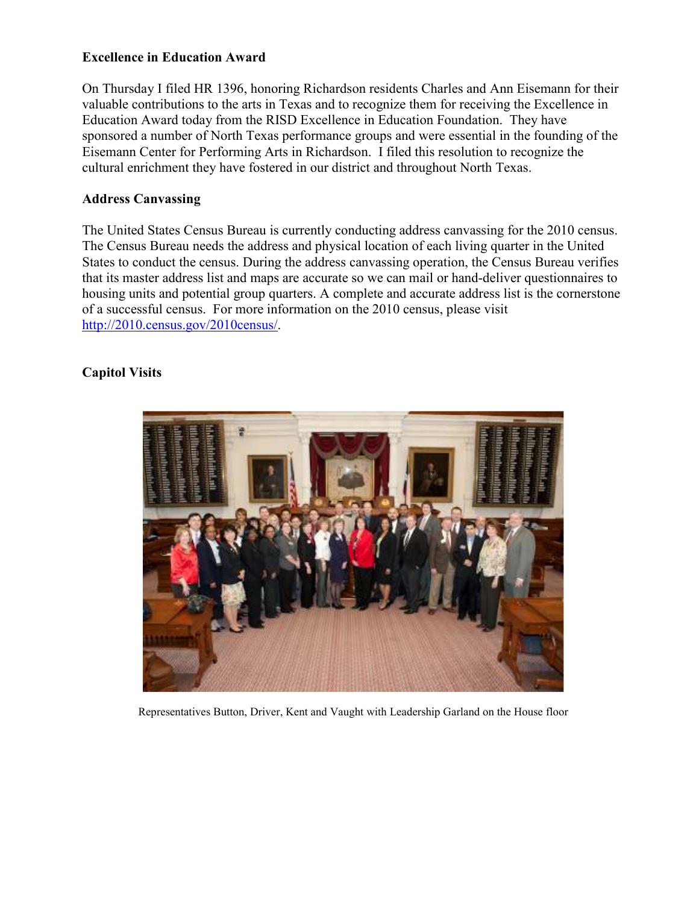### **Excellence in Education Award**

On Thursday I filed HR 1396, honoring Richardson residents Charles and Ann Eisemann for their valuable contributions to the arts in Texas and to recognize them for receiving the Excellence in Education Award today from the RISD Excellence in Education Foundation. They have sponsored a number of North Texas performance groups and were essential in the founding of the Eisemann Center for Performing Arts in Richardson. I filed this resolution to recognize the cultural enrichment they have fostered in our district and throughout North Texas.

### **Address Canvassing**

The United States Census Bureau is currently conducting address canvassing for the 2010 census. The Census Bureau needs the address and physical location of each living quarter in the United States to conduct the census. During the address canvassing operation, the Census Bureau verifies that its master address list and maps are accurate so we can mail or hand-deliver questionnaires to housing units and potential group quarters. A complete and accurate address list is the cornerstone of a successful census. For more information on the 2010 census, please visit http://2010.census.gov/2010census/.

## **Capitol Visits**



Representatives Button, Driver, Kent and Vaught with Leadership Garland on the House floor